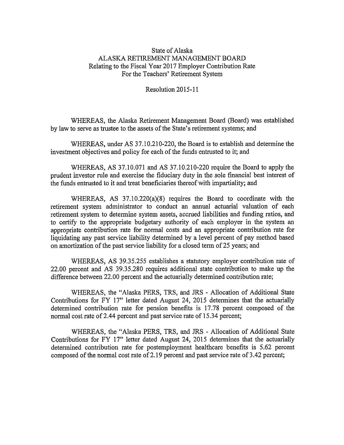## State of Alaska ALASKA RETIREMENT MANAGEMENT BOARD Relating to the Fiscal Year 2017 Employer Contribution Rate For the Teachers' Retirement System

Resolution 2015-11

WHEREAS, the Alaska Retirement Management Board (Board) was established by law to serve as trustee to the assets of the State's retirement systems; and

WHEREAS, under AS 37.10.210-220, the Board is to establish and determine the investment objectives and policy for each of the funds entrusted to it; and

WHEREAS, AS 37.10.071 and AS 37.10.210-220 require the Board to apply the prudent investor rule and exercise the fiduciary duty in the sole financial best interest of the funds entrusted to it and treat beneficiaries thereof with impartiality; and

WHEREAS, AS 37.10.220(a)(8) requires the Board to coordinate with the retirement system administrator to conduct an annual actuarial valuation of each retirement system to determine system assets, accrued liabilities and funding ratios, and to certify to the appropriate budgetary authority of each employer in the system an appropriate contribution rate for normal costs and an appropriate contribution rate for liquidating any past service liability determined by a level percent of pay method based on amortization of the past service liability for <sup>a</sup> closed term of 25 years; and

WHEREAS, AS 39.35.255 establishes a statutory employer contribution rate of 22.00 percent and AS 39.35.280 requires additional state contribution to make up the difference between 22.00 percent and the actuarially determined contribution rate;

WHEREAS, the "Alaska PERS, TRS, and JRS - Allocation of Additional State Contributions for FY 17" letter dated August 24, 2015 determines that the actuarially determined contribution rate for pension benefits is 17.78 percent composed of the normal cost rate of 2.44 percent and past service rate of 15.34 percent;

WHEREAS, the "Alaska PERS, TRS, and JRS - Allocation of Additional State Contributions for FY 17" letter dated August 24, 2015 determines that the actuarially determined contribution rate for postemployment healthcare benefits is 5.62 percent composed of the normal cost rate of 2.19 percent and past service rate of 3.42 percent;